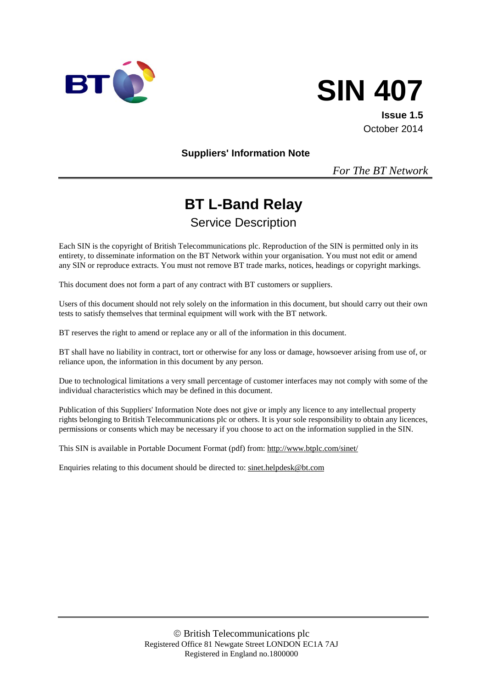



**Issue 1.5** October 2014

**Suppliers' Information Note**

*For The BT Network*

# **BT L-Band Relay** Service Description

Each SIN is the copyright of British Telecommunications plc. Reproduction of the SIN is permitted only in its entirety, to disseminate information on the BT Network within your organisation. You must not edit or amend any SIN or reproduce extracts. You must not remove BT trade marks, notices, headings or copyright markings.

This document does not form a part of any contract with BT customers or suppliers.

Users of this document should not rely solely on the information in this document, but should carry out their own tests to satisfy themselves that terminal equipment will work with the BT network.

BT reserves the right to amend or replace any or all of the information in this document.

BT shall have no liability in contract, tort or otherwise for any loss or damage, howsoever arising from use of, or reliance upon, the information in this document by any person.

Due to technological limitations a very small percentage of customer interfaces may not comply with some of the individual characteristics which may be defined in this document.

Publication of this Suppliers' Information Note does not give or imply any licence to any intellectual property rights belonging to British Telecommunications plc or others. It is your sole responsibility to obtain any licences, permissions or consents which may be necessary if you choose to act on the information supplied in the SIN.

This SIN is available in Portable Document Format (pdf) from[: http://www.btplc.com/sinet/](http://www.btplc.com/sinet/)

Enquiries relating to this document should be directed to: [sinet.helpdesk@bt.com](mailto:sinet.helpdesk@bt.com)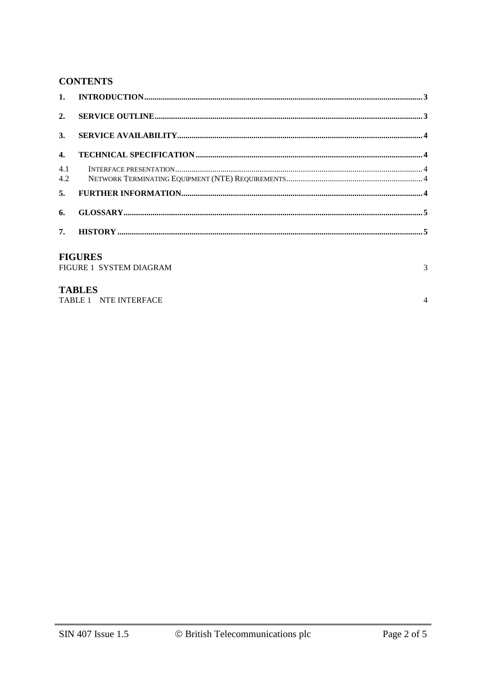# **CONTENTS**

| 2.                                             |  |  |
|------------------------------------------------|--|--|
| 3.                                             |  |  |
| 4.                                             |  |  |
| 4.1<br>4.2                                     |  |  |
| 5.                                             |  |  |
| 6.                                             |  |  |
|                                                |  |  |
| <b>FIGURES</b><br>FIGURE 1 SYSTEM DIAGRAM<br>3 |  |  |

## **TABLES**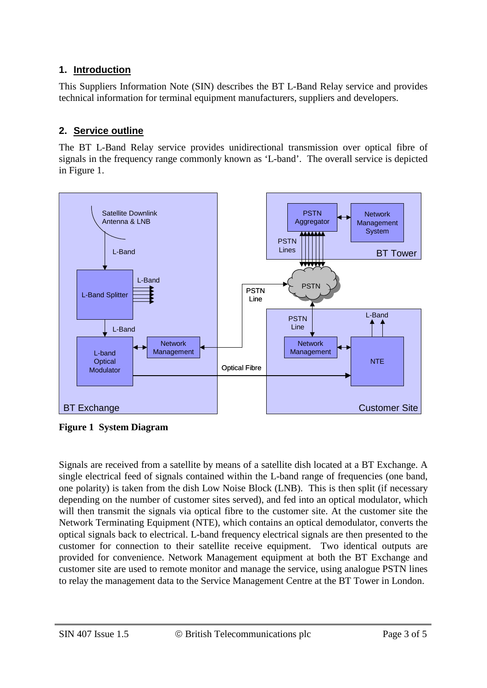# **1. Introduction**

This Suppliers Information Note (SIN) describes the BT L-Band Relay service and provides technical information for terminal equipment manufacturers, suppliers and developers.

# **2. Service outline**

The BT L-Band Relay service provides unidirectional transmission over optical fibre of signals in the frequency range commonly known as 'L-band'. The overall service is depicted in Figure 1.



**Figure 1 System Diagram** 

Signals are received from a satellite by means of a satellite dish located at a BT Exchange. A single electrical feed of signals contained within the L-band range of frequencies (one band, one polarity) is taken from the dish Low Noise Block (LNB). This is then split (if necessary depending on the number of customer sites served), and fed into an optical modulator, which will then transmit the signals via optical fibre to the customer site. At the customer site the Network Terminating Equipment (NTE), which contains an optical demodulator, converts the optical signals back to electrical. L-band frequency electrical signals are then presented to the customer for connection to their satellite receive equipment. Two identical outputs are provided for convenience. Network Management equipment at both the BT Exchange and customer site are used to remote monitor and manage the service, using analogue PSTN lines to relay the management data to the Service Management Centre at the BT Tower in London.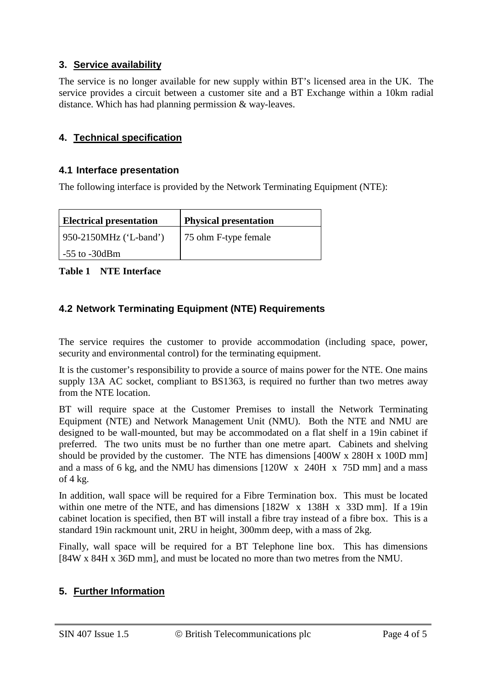# **3. Service availability**

The service is no longer available for new supply within BT's licensed area in the UK. The service provides a circuit between a customer site and a BT Exchange within a 10km radial distance. Which has had planning permission & way-leaves.

## **4. Technical specification**

#### **4.1 Interface presentation**

The following interface is provided by the Network Terminating Equipment (NTE):

| <b>Electrical presentation</b> | <b>Physical presentation</b> |
|--------------------------------|------------------------------|
| 950-2150MHz ('L-band')         | 75 ohm F-type female         |
| $-55$ to $-30$ dBm             |                              |

**Table 1 NTE Interface**

## **4.2 Network Terminating Equipment (NTE) Requirements**

The service requires the customer to provide accommodation (including space, power, security and environmental control) for the terminating equipment.

It is the customer's responsibility to provide a source of mains power for the NTE. One mains supply 13A AC socket, compliant to BS1363, is required no further than two metres away from the NTE location.

BT will require space at the Customer Premises to install the Network Terminating Equipment (NTE) and Network Management Unit (NMU). Both the NTE and NMU are designed to be wall-mounted, but may be accommodated on a flat shelf in a 19in cabinet if preferred. The two units must be no further than one metre apart. Cabinets and shelving should be provided by the customer. The NTE has dimensions [400W x 280H x 100D mm] and a mass of 6 kg, and the NMU has dimensions [120W x 240H x 75D mm] and a mass of  $4$  kg.

In addition, wall space will be required for a Fibre Termination box. This must be located within one metre of the NTE, and has dimensions [182W x 138H x 33D mm]. If a 19in cabinet location is specified, then BT will install a fibre tray instead of a fibre box. This is a standard 19in rackmount unit, 2RU in height, 300mm deep, with a mass of 2kg.

Finally, wall space will be required for a BT Telephone line box. This has dimensions [84W x 84H x 36D mm], and must be located no more than two metres from the NMU.

## **5. Further Information**